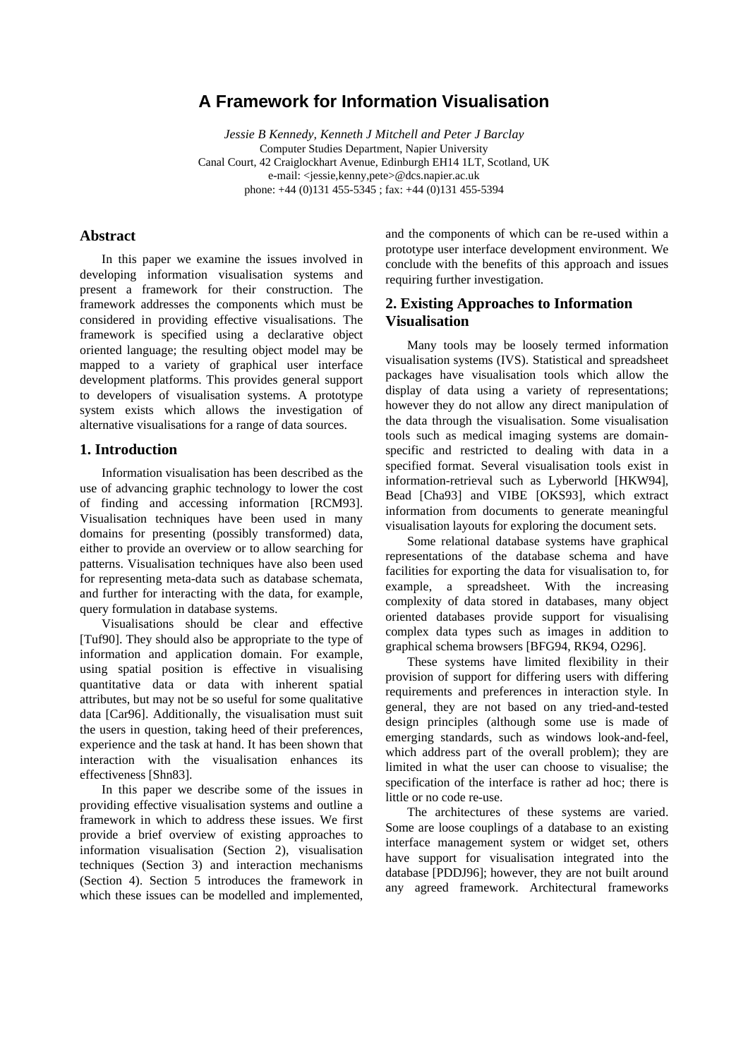# **A Framework for Information Visualisation**

*Jessie B Kennedy, Kenneth J Mitchell and Peter J Barclay* Computer Studies Department, Napier University Canal Court, 42 Craiglockhart Avenue, Edinburgh EH14 1LT, Scotland, UK e-mail: <jessie,kenny,pete>@dcs.napier.ac.uk phone: +44 (0)131 455-5345 ; fax: +44 (0)131 455-5394

## **Abstract**

In this paper we examine the issues involved in developing information visualisation systems and present a framework for their construction. The framework addresses the components which must be considered in providing effective visualisations. The framework is specified using a declarative object oriented language; the resulting object model may be mapped to a variety of graphical user interface development platforms. This provides general support to developers of visualisation systems. A prototype system exists which allows the investigation of alternative visualisations for a range of data sources.

# **1. Introduction**

Information visualisation has been described as the use of advancing graphic technology to lower the cost of finding and accessing information [RCM93]. Visualisation techniques have been used in many domains for presenting (possibly transformed) data, either to provide an overview or to allow searching for patterns. Visualisation techniques have also been used for representing meta-data such as database schemata, and further for interacting with the data, for example, query formulation in database systems.

Visualisations should be clear and effective [Tuf90]. They should also be appropriate to the type of information and application domain. For example, using spatial position is effective in visualising quantitative data or data with inherent spatial attributes, but may not be so useful for some qualitative data [Car96]. Additionally, the visualisation must suit the users in question, taking heed of their preferences, experience and the task at hand. It has been shown that interaction with the visualisation enhances its effectiveness [Shn83].

In this paper we describe some of the issues in providing effective visualisation systems and outline a framework in which to address these issues. We first provide a brief overview of existing approaches to information visualisation (Section 2), visualisation techniques (Section 3) and interaction mechanisms (Section 4). Section 5 introduces the framework in which these issues can be modelled and implemented,

and the components of which can be re-used within a prototype user interface development environment. We conclude with the benefits of this approach and issues requiring further investigation.

# **2. Existing Approaches to Information Visualisation**

Many tools may be loosely termed information visualisation systems (IVS). Statistical and spreadsheet packages have visualisation tools which allow the display of data using a variety of representations; however they do not allow any direct manipulation of the data through the visualisation. Some visualisation tools such as medical imaging systems are domainspecific and restricted to dealing with data in a specified format. Several visualisation tools exist in information-retrieval such as Lyberworld [HKW94], Bead [Cha93] and VIBE [OKS93], which extract information from documents to generate meaningful visualisation layouts for exploring the document sets.

Some relational database systems have graphical representations of the database schema and have facilities for exporting the data for visualisation to, for example, a spreadsheet. With the increasing complexity of data stored in databases, many object oriented databases provide support for visualising complex data types such as images in addition to graphical schema browsers [BFG94, RK94, O296].

These systems have limited flexibility in their provision of support for differing users with differing requirements and preferences in interaction style. In general, they are not based on any tried-and-tested design principles (although some use is made of emerging standards, such as windows look-and-feel, which address part of the overall problem); they are limited in what the user can choose to visualise; the specification of the interface is rather ad hoc; there is little or no code re-use.

The architectures of these systems are varied. Some are loose couplings of a database to an existing interface management system or widget set, others have support for visualisation integrated into the database [PDDJ96]; however, they are not built around any agreed framework. Architectural frameworks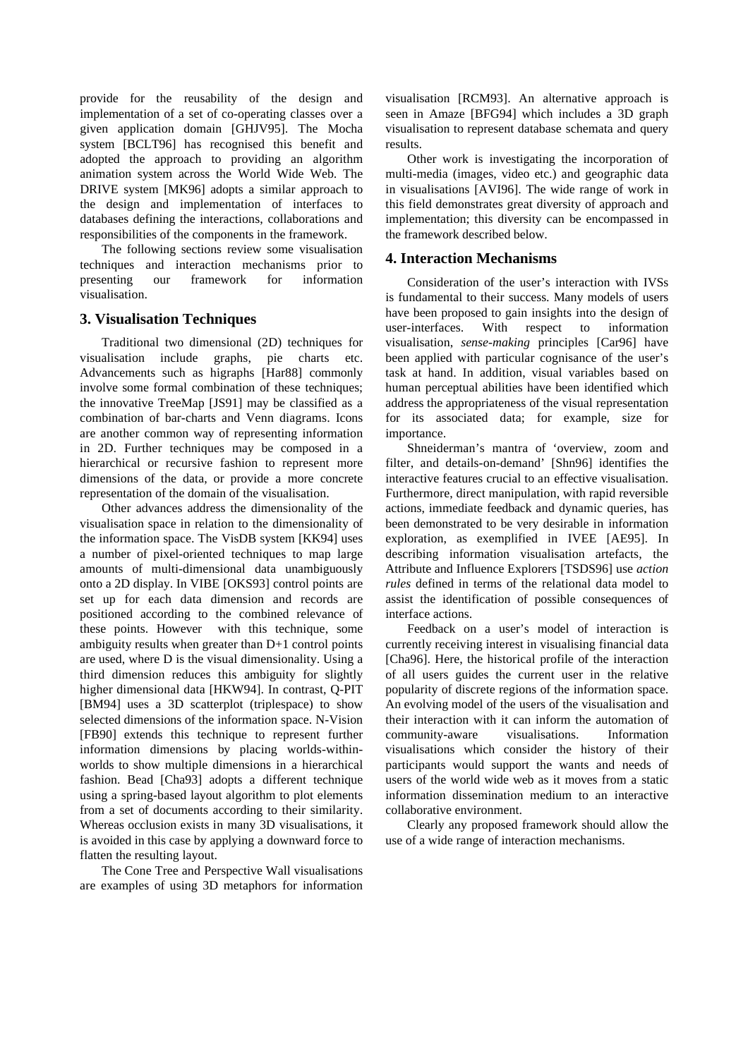provide for the reusability of the design and implementation of a set of co-operating classes over a given application domain [GHJV95]. The Mocha system [BCLT96] has recognised this benefit and adopted the approach to providing an algorithm animation system across the World Wide Web. The DRIVE system [MK96] adopts a similar approach to the design and implementation of interfaces to databases defining the interactions, collaborations and responsibilities of the components in the framework.

The following sections review some visualisation techniques and interaction mechanisms prior to presenting our framework for information visualisation.

# **3. Visualisation Techniques**

Traditional two dimensional (2D) techniques for visualisation include graphs, pie charts etc. Advancements such as higraphs [Har88] commonly involve some formal combination of these techniques; the innovative TreeMap [JS91] may be classified as a combination of bar-charts and Venn diagrams. Icons are another common way of representing information in 2D. Further techniques may be composed in a hierarchical or recursive fashion to represent more dimensions of the data, or provide a more concrete representation of the domain of the visualisation.

Other advances address the dimensionality of the visualisation space in relation to the dimensionality of the information space. The VisDB system [KK94] uses a number of pixel-oriented techniques to map large amounts of multi-dimensional data unambiguously onto a 2D display. In VIBE [OKS93] control points are set up for each data dimension and records are positioned according to the combined relevance of these points. However with this technique, some ambiguity results when greater than D+1 control points are used, where D is the visual dimensionality. Using a third dimension reduces this ambiguity for slightly higher dimensional data [HKW94]. In contrast, Q-PIT [BM94] uses a 3D scatterplot (triplespace) to show selected dimensions of the information space. N-Vision [FB90] extends this technique to represent further information dimensions by placing worlds-withinworlds to show multiple dimensions in a hierarchical fashion. Bead [Cha93] adopts a different technique using a spring-based layout algorithm to plot elements from a set of documents according to their similarity. Whereas occlusion exists in many 3D visualisations, it is avoided in this case by applying a downward force to flatten the resulting layout.

The Cone Tree and Perspective Wall visualisations are examples of using 3D metaphors for information

visualisation [RCM93]. An alternative approach is seen in Amaze [BFG94] which includes a 3D graph visualisation to represent database schemata and query results.

Other work is investigating the incorporation of multi-media (images, video etc.) and geographic data in visualisations [AVI96]. The wide range of work in this field demonstrates great diversity of approach and implementation; this diversity can be encompassed in the framework described below.

## **4. Interaction Mechanisms**

Consideration of the user's interaction with IVSs is fundamental to their success. Many models of users have been proposed to gain insights into the design of user-interfaces. With respect to information visualisation, *sense-making* principles [Car96] have been applied with particular cognisance of the user's task at hand. In addition, visual variables based on human perceptual abilities have been identified which address the appropriateness of the visual representation for its associated data; for example, size for importance.

Shneiderman's mantra of 'overview, zoom and filter, and details-on-demand' [Shn96] identifies the interactive features crucial to an effective visualisation. Furthermore, direct manipulation, with rapid reversible actions, immediate feedback and dynamic queries, has been demonstrated to be very desirable in information exploration, as exemplified in IVEE [AE95]. In describing information visualisation artefacts, the Attribute and Influence Explorers [TSDS96] use *action rules* defined in terms of the relational data model to assist the identification of possible consequences of interface actions.

Feedback on a user's model of interaction is currently receiving interest in visualising financial data [Cha96]. Here, the historical profile of the interaction of all users guides the current user in the relative popularity of discrete regions of the information space. An evolving model of the users of the visualisation and their interaction with it can inform the automation of community-aware visualisations. Information visualisations which consider the history of their participants would support the wants and needs of users of the world wide web as it moves from a static information dissemination medium to an interactive collaborative environment.

Clearly any proposed framework should allow the use of a wide range of interaction mechanisms.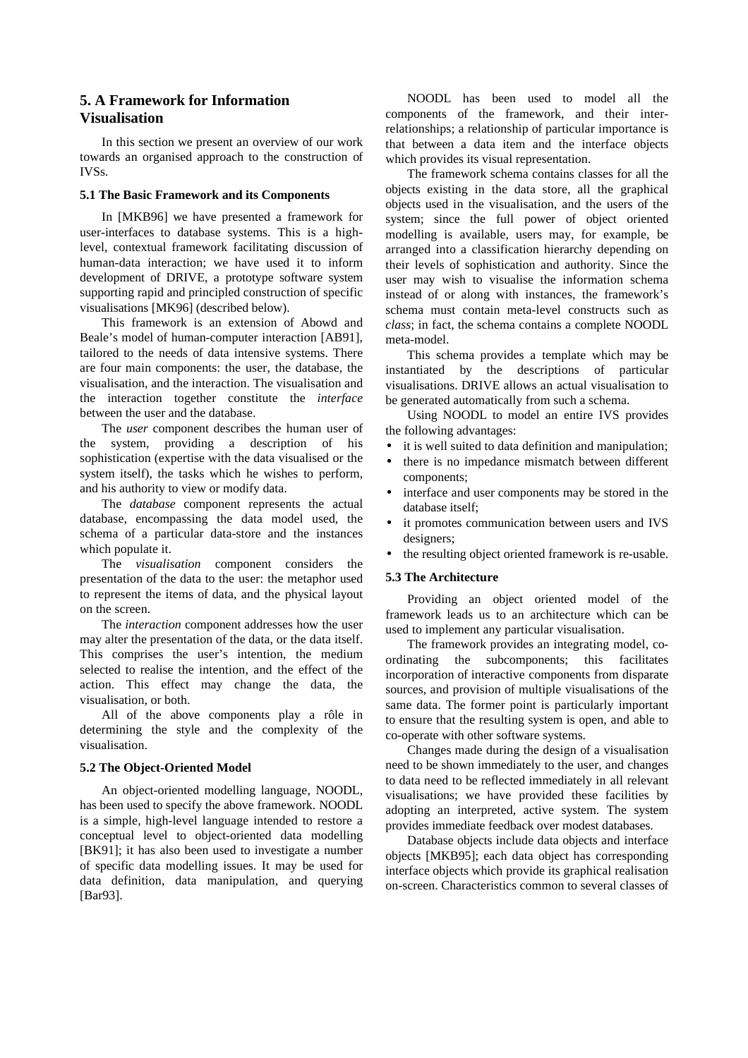# **5. A Framework for Information Visualisation**

In this section we present an overview of our work towards an organised approach to the construction of IVSs.

#### **5.1 The Basic Framework and its Components**

In [MKB96] we have presented a framework for user-interfaces to database systems. This is a highlevel, contextual framework facilitating discussion of human-data interaction; we have used it to inform development of DRIVE, a prototype software system supporting rapid and principled construction of specific visualisations [MK96] (described below).

This framework is an extension of Abowd and Beale's model of human-computer interaction [AB91], tailored to the needs of data intensive systems. There are four main components: the user, the database, the visualisation, and the interaction. The visualisation and the interaction together constitute the *interface* between the user and the database.

The *user* component describes the human user of the system, providing a description of his sophistication (expertise with the data visualised or the system itself), the tasks which he wishes to perform, and his authority to view or modify data.

The *database* component represents the actual database, encompassing the data model used, the schema of a particular data-store and the instances which populate it.

The *visualisation* component considers the presentation of the data to the user: the metaphor used to represent the items of data, and the physical layout on the screen.

The *interaction* component addresses how the user may alter the presentation of the data, or the data itself. This comprises the user's intention, the medium selected to realise the intention, and the effect of the action. This effect may change the data, the visualisation, or both.

All of the above components play a rôle in determining the style and the complexity of the visualisation.

#### **5.2 The Object-Oriented Model**

An object-oriented modelling language, NOODL, has been used to specify the above framework. NOODL is a simple, high-level language intended to restore a conceptual level to object-oriented data modelling [BK91]; it has also been used to investigate a number of specific data modelling issues. It may be used for data definition, data manipulation, and querying [Bar93].

NOODL has been used to model all the components of the framework, and their interrelationships; a relationship of particular importance is that between a data item and the interface objects which provides its visual representation.

The framework schema contains classes for all the objects existing in the data store, all the graphical objects used in the visualisation, and the users of the system; since the full power of object oriented modelling is available, users may, for example, be arranged into a classification hierarchy depending on their levels of sophistication and authority. Since the user may wish to visualise the information schema instead of or along with instances, the framework's schema must contain meta-level constructs such as *class*; in fact, the schema contains a complete NOODL meta-model.

This schema provides a template which may be instantiated by the descriptions of particular visualisations. DRIVE allows an actual visualisation to be generated automatically from such a schema.

Using NOODL to model an entire IVS provides the following advantages:

- it is well suited to data definition and manipulation;
- there is no impedance mismatch between different
- components; • interface and user components may be stored in the database itself;
- it promotes communication between users and IVS designers;
- the resulting object oriented framework is re-usable.

#### **5.3 The Architecture**

Providing an object oriented model of the framework leads us to an architecture which can be used to implement any particular visualisation.

The framework provides an integrating model, coordinating the subcomponents; this facilitates incorporation of interactive components from disparate sources, and provision of multiple visualisations of the same data. The former point is particularly important to ensure that the resulting system is open, and able to co-operate with other software systems.

Changes made during the design of a visualisation need to be shown immediately to the user, and changes to data need to be reflected immediately in all relevant visualisations; we have provided these facilities by adopting an interpreted, active system. The system provides immediate feedback over modest databases.

Database objects include data objects and interface objects [MKB95]; each data object has corresponding interface objects which provide its graphical realisation on-screen. Characteristics common to several classes of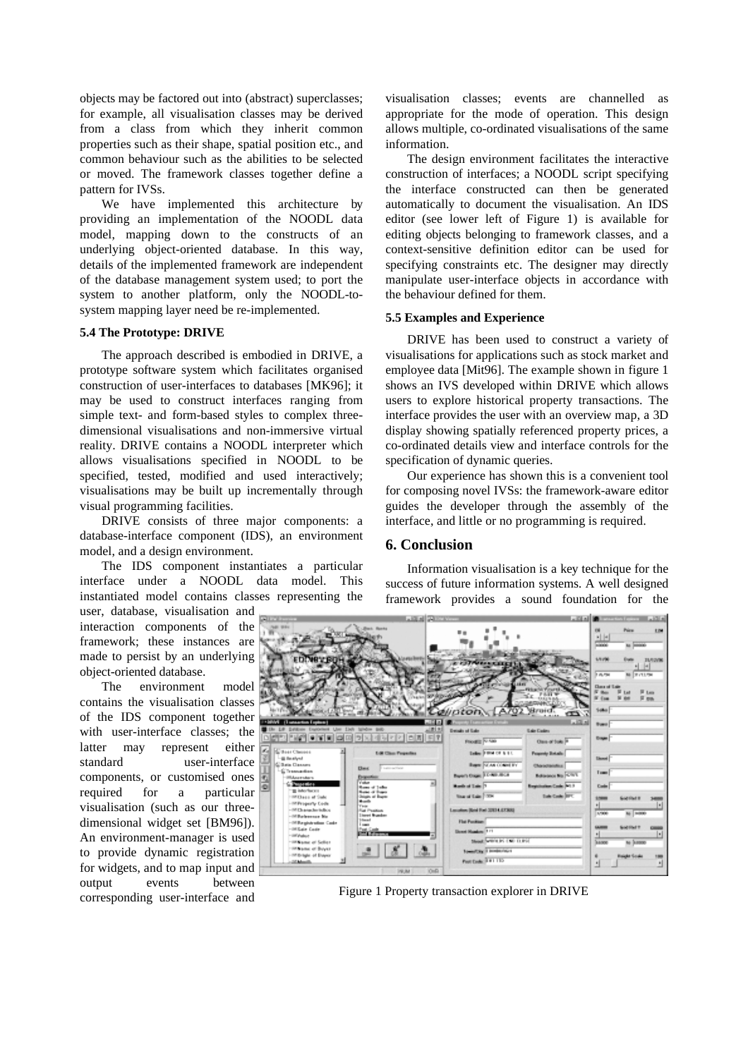objects may be factored out into (abstract) superclasses; for example, all visualisation classes may be derived from a class from which they inherit common properties such as their shape, spatial position etc., and common behaviour such as the abilities to be selected or moved. The framework classes together define a pattern for IVSs.

We have implemented this architecture by providing an implementation of the NOODL data model, mapping down to the constructs of an underlying object-oriented database. In this way, details of the implemented framework are independent of the database management system used; to port the system to another platform, only the NOODL-tosystem mapping layer need be re-implemented.

#### **5.4 The Prototype: DRIVE**

The approach described is embodied in DRIVE, a prototype software system which facilitates organised construction of user-interfaces to databases [MK96]; it may be used to construct interfaces ranging from simple text- and form-based styles to complex threedimensional visualisations and non-immersive virtual reality. DRIVE contains a NOODL interpreter which allows visualisations specified in NOODL to be specified, tested, modified and used interactively; visualisations may be built up incrementally through visual programming facilities.

DRIVE consists of three major components: a database-interface component (IDS), an environment model, and a design environment.

The IDS component instantiates a particular interface under a NOODL data model. This instantiated model contains classes representing the

user, database, visualisation and interaction components of the framework; these instances are made to persist by an underlying object-oriented database.

The environment model contains the visualisation classes of the IDS component together with user-interface classes; the latter may represent either standard user-interface components, or customised ones required for a particular visualisation (such as our threedimensional widget set [BM96]). An environment-manager is used to provide dynamic registration for widgets, and to map input and output events between corresponding user-interface and

visualisation classes; events are channelled as appropriate for the mode of operation. This design allows multiple, co-ordinated visualisations of the same information.

The design environment facilitates the interactive construction of interfaces; a NOODL script specifying the interface constructed can then be generated automatically to document the visualisation. An IDS editor (see lower left of Figure 1) is available for editing objects belonging to framework classes, and a context-sensitive definition editor can be used for specifying constraints etc. The designer may directly manipulate user-interface objects in accordance with the behaviour defined for them.

#### **5.5 Examples and Experience**

DRIVE has been used to construct a variety of visualisations for applications such as stock market and employee data [Mit96]. The example shown in figure 1 shows an IVS developed within DRIVE which allows users to explore historical property transactions. The interface provides the user with an overview map, a 3D display showing spatially referenced property prices, a co-ordinated details view and interface controls for the specification of dynamic queries.

Our experience has shown this is a convenient tool for composing novel IVSs: the framework-aware editor guides the developer through the assembly of the interface, and little or no programming is required.

# **6. Conclusion**

Information visualisation is a key technique for the success of future information systems. A well designed framework provides a sound foundation for the



Figure 1 Property transaction explorer in DRIVE